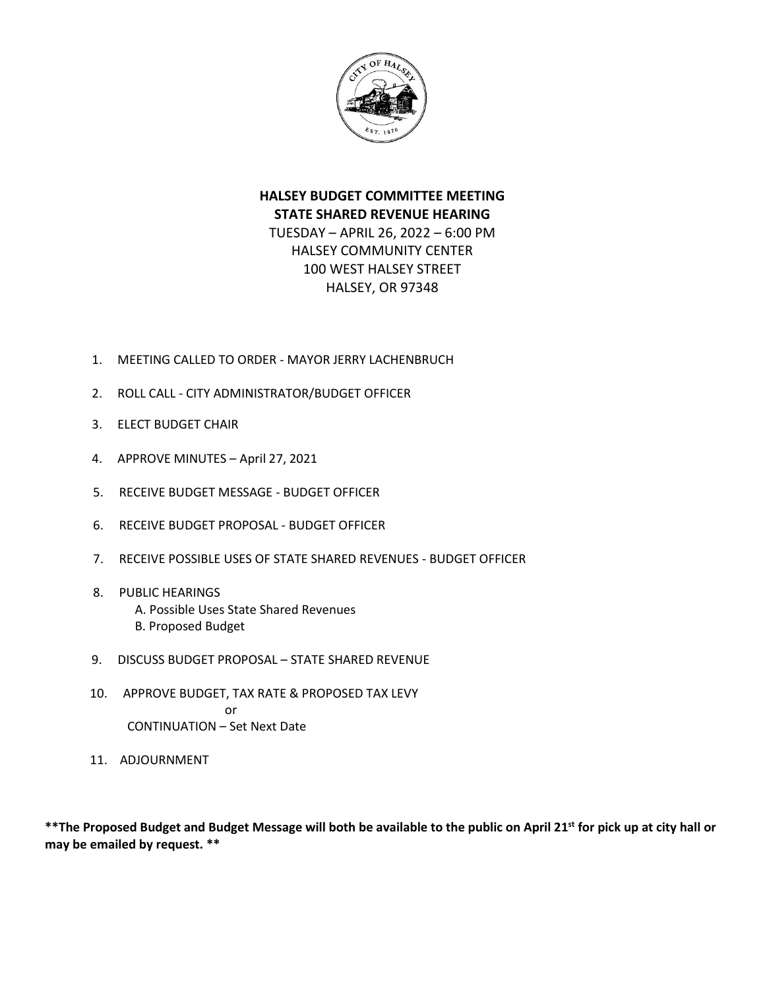

# **HALSEY BUDGET COMMITTEE MEETING STATE SHARED REVENUE HEARING** TUESDAY – APRIL 26, 2022 – 6:00 PM HALSEY COMMUNITY CENTER 100 WEST HALSEY STREET

HALSEY, OR 97348

- 1. MEETING CALLED TO ORDER MAYOR JERRY LACHENBRUCH
- 2. ROLL CALL CITY ADMINISTRATOR/BUDGET OFFICER
- 3. ELECT BUDGET CHAIR
- 4. APPROVE MINUTES April 27, 2021
- 5. RECEIVE BUDGET MESSAGE BUDGET OFFICER
- 6. RECEIVE BUDGET PROPOSAL BUDGET OFFICER
- 7. RECEIVE POSSIBLE USES OF STATE SHARED REVENUES BUDGET OFFICER
- 8. PUBLIC HEARINGS A. Possible Uses State Shared Revenues B. Proposed Budget
- 9. DISCUSS BUDGET PROPOSAL STATE SHARED REVENUE
- 10. APPROVE BUDGET, TAX RATE & PROPOSED TAX LEVY or CONTINUATION – Set Next Date
- 11. ADJOURNMENT

**\*\*The Proposed Budget and Budget Message will both be available to the public on April 21 st for pick up at city hall or may be emailed by request. \*\***